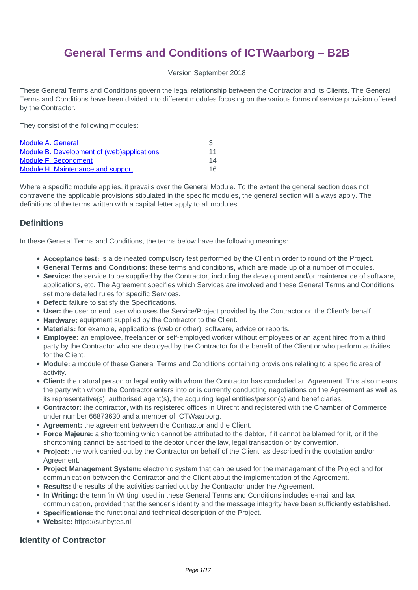# **General Terms and Conditions of ICTWaarborg – B2B**

Version September 2018

These General Terms and Conditions govern the legal relationship between the Contractor and its Clients. The General Terms and Conditions have been divided into different modules focusing on the various forms of service provision offered by the Contractor.

They consist of the following modules:

| Module A. General                          |    |
|--------------------------------------------|----|
| Module B. Development of (web)applications | 11 |
| Module F. Secondment                       | 14 |
| <b>Module H. Maintenance and support</b>   | 16 |

Where a specific module applies, it prevails over the General Module. To the extent the general section does not contravene the applicable provisions stipulated in the specific modules, the general section will always apply. The definitions of the terms written with a capital letter apply to all modules.

#### **Definitions**

In these General Terms and Conditions, the terms below have the following meanings:

- **Acceptance test:** is a delineated compulsory test performed by the Client in order to round off the Project.
- **General Terms and Conditions:** these terms and conditions, which are made up of a number of modules.
- **Service:** the service to be supplied by the Contractor, including the development and/or maintenance of software, applications, etc. The Agreement specifies which Services are involved and these General Terms and Conditions set more detailed rules for specific Services.
- **Defect:** failure to satisfy the Specifications.
- **User:** the user or end user who uses the Service/Project provided by the Contractor on the Client's behalf.
- **Hardware:** equipment supplied by the Contractor to the Client.
- **Materials:** for example, applications (web or other), software, advice or reports.
- **Employee:** an employee, freelancer or self-employed worker without employees or an agent hired from a third party by the Contractor who are deployed by the Contractor for the benefit of the Client or who perform activities for the Client.
- **Module:** a module of these General Terms and Conditions containing provisions relating to a specific area of activity.
- **Client:** the natural person or legal entity with whom the Contractor has concluded an Agreement. This also means the party with whom the Contractor enters into or is currently conducting negotiations on the Agreement as well as its representative(s), authorised agent(s), the acquiring legal entities/person(s) and beneficiaries.
- **Contractor:** the contractor, with its registered offices in Utrecht and registered with the Chamber of Commerce under number 66873630 and a member of ICTWaarborg.
- **Agreement:** the agreement between the Contractor and the Client.
- **Force Majeure:** a shortcoming which cannot be attributed to the debtor, if it cannot be blamed for it, or if the shortcoming cannot be ascribed to the debtor under the law, legal transaction or by convention.
- **Project:** the work carried out by the Contractor on behalf of the Client, as described in the quotation and/or Agreement.
- **Project Management System:** electronic system that can be used for the management of the Project and for communication between the Contractor and the Client about the implementation of the Agreement.
- **Results:** the results of the activities carried out by the Contractor under the Agreement.
- **In Writing:** the term 'in Writing' used in these General Terms and Conditions includes e-mail and fax communication, provided that the sender's identity and the message integrity have been sufficiently established.
- **Specifications:** the functional and technical description of the Project.
- **Website:** https://sunbytes.nl

#### **Identity of Contractor**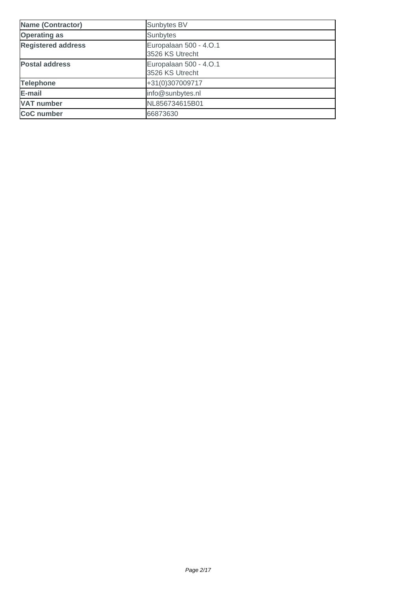| <b>Name (Contractor)</b>  | Sunbytes BV                               |
|---------------------------|-------------------------------------------|
| <b>Operating as</b>       | Sunbytes                                  |
| <b>Registered address</b> | Europalaan 500 - 4.O.1<br>3526 KS Utrecht |
| <b>Postal address</b>     | Europalaan 500 - 4.O.1<br>3526 KS Utrecht |
| <b>Telephone</b>          | +31(0)307009717                           |
| E-mail                    | info@sunbytes.nl                          |
| <b>VAT number</b>         | NL856734615B01                            |
| <b>CoC</b> number         | 66873630                                  |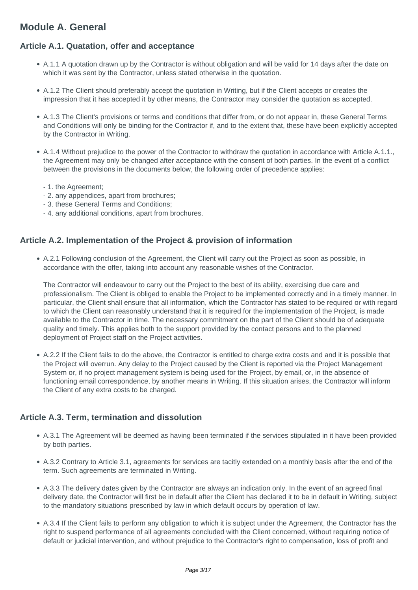## <span id="page-2-0"></span>**Module A. General**

## **Article A.1. Quatation, offer and acceptance**

- A.1.1 A quotation drawn up by the Contractor is without obligation and will be valid for 14 days after the date on which it was sent by the Contractor, unless stated otherwise in the quotation.
- A.1.2 The Client should preferably accept the quotation in Writing, but if the Client accepts or creates the impression that it has accepted it by other means, the Contractor may consider the quotation as accepted.
- A.1.3 The Client's provisions or terms and conditions that differ from, or do not appear in, these General Terms and Conditions will only be binding for the Contractor if, and to the extent that, these have been explicitly accepted by the Contractor in Writing.
- A.1.4 Without prejudice to the power of the Contractor to withdraw the quotation in accordance with Article A.1.1., the Agreement may only be changed after acceptance with the consent of both parties. In the event of a conflict between the provisions in the documents below, the following order of precedence applies:
	- 1. the Agreement;
	- 2. any appendices, apart from brochures;
	- 3. these General Terms and Conditions;
	- 4. any additional conditions, apart from brochures.

## **Article A.2. Implementation of the Project & provision of information**

A.2.1 Following conclusion of the Agreement, the Client will carry out the Project as soon as possible, in accordance with the offer, taking into account any reasonable wishes of the Contractor.

The Contractor will endeavour to carry out the Project to the best of its ability, exercising due care and professionalism. The Client is obliged to enable the Project to be implemented correctly and in a timely manner. In particular, the Client shall ensure that all information, which the Contractor has stated to be required or with regard to which the Client can reasonably understand that it is required for the implementation of the Project, is made available to the Contractor in time. The necessary commitment on the part of the Client should be of adequate quality and timely. This applies both to the support provided by the contact persons and to the planned deployment of Project staff on the Project activities.

A.2.2 If the Client fails to do the above, the Contractor is entitled to charge extra costs and and it is possible that the Project will overrun. Any delay to the Project caused by the Client is reported via the Project Management System or, if no project management system is being used for the Project, by email, or, in the absence of functioning email correspondence, by another means in Writing. If this situation arises, the Contractor will inform the Client of any extra costs to be charged.

#### **Article A.3. Term, termination and dissolution**

- A.3.1 The Agreement will be deemed as having been terminated if the services stipulated in it have been provided by both parties.
- A.3.2 Contrary to Article 3.1, agreements for services are tacitly extended on a monthly basis after the end of the term. Such agreements are terminated in Writing.
- A.3.3 The delivery dates given by the Contractor are always an indication only. In the event of an agreed final delivery date, the Contractor will first be in default after the Client has declared it to be in default in Writing, subject to the mandatory situations prescribed by law in which default occurs by operation of law.
- A.3.4 If the Client fails to perform any obligation to which it is subject under the Agreement, the Contractor has the right to suspend performance of all agreements concluded with the Client concerned, without requiring notice of default or judicial intervention, and without prejudice to the Contractor's right to compensation, loss of profit and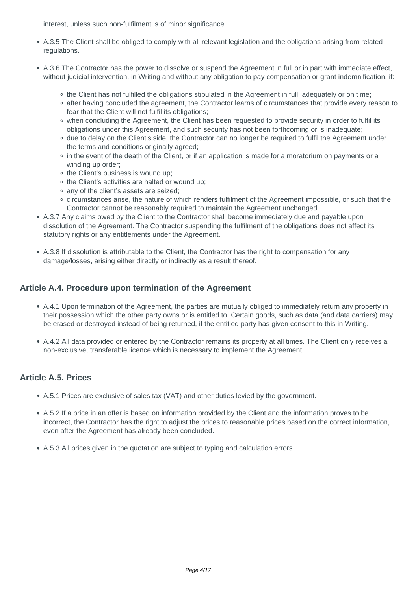interest, unless such non-fulfilment is of minor significance.

- A.3.5 The Client shall be obliged to comply with all relevant legislation and the obligations arising from related regulations.
- A.3.6 The Contractor has the power to dissolve or suspend the Agreement in full or in part with immediate effect, without judicial intervention, in Writing and without any obligation to pay compensation or grant indemnification, if:
	- the Client has not fulfilled the obligations stipulated in the Agreement in full, adequately or on time;
	- o after having concluded the agreement, the Contractor learns of circumstances that provide every reason to fear that the Client will not fulfil its obligations;
	- o when concluding the Agreement, the Client has been requested to provide security in order to fulfil its obligations under this Agreement, and such security has not been forthcoming or is inadequate;
	- due to delay on the Client's side, the Contractor can no longer be required to fulfil the Agreement under the terms and conditions originally agreed;
	- in the event of the death of the Client, or if an application is made for a moratorium on payments or a winding up order;
	- the Client's business is wound up;
	- the Client's activities are halted or wound up;
	- any of the client's assets are seized;
	- o circumstances arise, the nature of which renders fulfilment of the Agreement impossible, or such that the Contractor cannot be reasonably required to maintain the Agreement unchanged.
- A.3.7 Any claims owed by the Client to the Contractor shall become immediately due and payable upon dissolution of the Agreement. The Contractor suspending the fulfilment of the obligations does not affect its statutory rights or any entitlements under the Agreement.
- A.3.8 If dissolution is attributable to the Client, the Contractor has the right to compensation for any damage/losses, arising either directly or indirectly as a result thereof.

#### **Article A.4. Procedure upon termination of the Agreement**

- A.4.1 Upon termination of the Agreement, the parties are mutually obliged to immediately return any property in their possession which the other party owns or is entitled to. Certain goods, such as data (and data carriers) may be erased or destroyed instead of being returned, if the entitled party has given consent to this in Writing.
- A.4.2 All data provided or entered by the Contractor remains its property at all times. The Client only receives a non-exclusive, transferable licence which is necessary to implement the Agreement.

#### **Article A.5. Prices**

- A.5.1 Prices are exclusive of sales tax (VAT) and other duties levied by the government.
- A.5.2 If a price in an offer is based on information provided by the Client and the information proves to be incorrect, the Contractor has the right to adjust the prices to reasonable prices based on the correct information, even after the Agreement has already been concluded.
- A.5.3 All prices given in the quotation are subject to typing and calculation errors.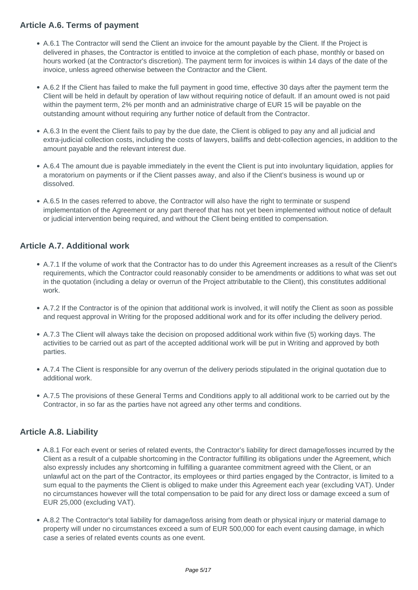## **Article A.6. Terms of payment**

- A.6.1 The Contractor will send the Client an invoice for the amount payable by the Client. If the Project is delivered in phases, the Contractor is entitled to invoice at the completion of each phase, monthly or based on hours worked (at the Contractor's discretion). The payment term for invoices is within 14 days of the date of the invoice, unless agreed otherwise between the Contractor and the Client.
- A.6.2 If the Client has failed to make the full payment in good time, effective 30 days after the payment term the Client will be held in default by operation of law without requiring notice of default. If an amount owed is not paid within the payment term, 2% per month and an administrative charge of EUR 15 will be payable on the outstanding amount without requiring any further notice of default from the Contractor.
- A.6.3 In the event the Client fails to pay by the due date, the Client is obliged to pay any and all judicial and extra-judicial collection costs, including the costs of lawyers, bailiffs and debt-collection agencies, in addition to the amount payable and the relevant interest due.
- A.6.4 The amount due is payable immediately in the event the Client is put into involuntary liquidation, applies for a moratorium on payments or if the Client passes away, and also if the Client's business is wound up or dissolved.
- A.6.5 In the cases referred to above, the Contractor will also have the right to terminate or suspend implementation of the Agreement or any part thereof that has not yet been implemented without notice of default or judicial intervention being required, and without the Client being entitled to compensation.

## **Article A.7. Additional work**

- A.7.1 If the volume of work that the Contractor has to do under this Agreement increases as a result of the Client's requirements, which the Contractor could reasonably consider to be amendments or additions to what was set out in the quotation (including a delay or overrun of the Project attributable to the Client), this constitutes additional work.
- A.7.2 If the Contractor is of the opinion that additional work is involved, it will notify the Client as soon as possible and request approval in Writing for the proposed additional work and for its offer including the delivery period.
- A.7.3 The Client will always take the decision on proposed additional work within five (5) working days. The activities to be carried out as part of the accepted additional work will be put in Writing and approved by both parties.
- A.7.4 The Client is responsible for any overrun of the delivery periods stipulated in the original quotation due to additional work.
- A.7.5 The provisions of these General Terms and Conditions apply to all additional work to be carried out by the Contractor, in so far as the parties have not agreed any other terms and conditions.

## **Article A.8. Liability**

- A.8.1 For each event or series of related events, the Contractor's liability for direct damage/losses incurred by the Client as a result of a culpable shortcoming in the Contractor fulfilling its obligations under the Agreement, which also expressly includes any shortcoming in fulfilling a guarantee commitment agreed with the Client, or an unlawful act on the part of the Contractor, its employees or third parties engaged by the Contractor, is limited to a sum equal to the payments the Client is obliged to make under this Agreement each year (excluding VAT). Under no circumstances however will the total compensation to be paid for any direct loss or damage exceed a sum of EUR 25,000 (excluding VAT).
- A.8.2 The Contractor's total liability for damage/loss arising from death or physical injury or material damage to property will under no circumstances exceed a sum of EUR 500,000 for each event causing damage, in which case a series of related events counts as one event.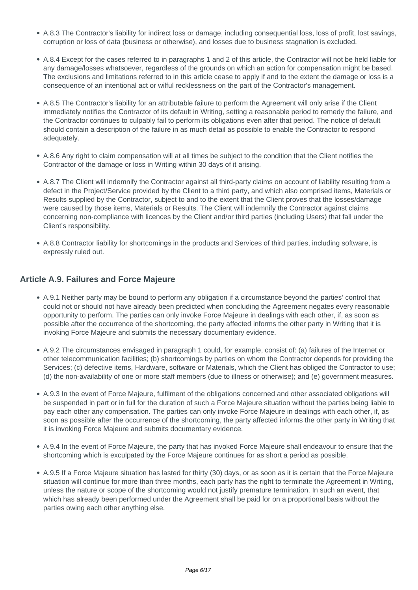- A.8.3 The Contractor's liability for indirect loss or damage, including consequential loss, loss of profit, lost savings, corruption or loss of data (business or otherwise), and losses due to business stagnation is excluded.
- A.8.4 Except for the cases referred to in paragraphs 1 and 2 of this article, the Contractor will not be held liable for any damage/losses whatsoever, regardless of the grounds on which an action for compensation might be based. The exclusions and limitations referred to in this article cease to apply if and to the extent the damage or loss is a consequence of an intentional act or wilful recklessness on the part of the Contractor's management.
- A.8.5 The Contractor's liability for an attributable failure to perform the Agreement will only arise if the Client immediately notifies the Contractor of its default in Writing, setting a reasonable period to remedy the failure, and the Contractor continues to culpably fail to perform its obligations even after that period. The notice of default should contain a description of the failure in as much detail as possible to enable the Contractor to respond adequately.
- A.8.6 Any right to claim compensation will at all times be subject to the condition that the Client notifies the Contractor of the damage or loss in Writing within 30 days of it arising.
- A.8.7 The Client will indemnify the Contractor against all third-party claims on account of liability resulting from a defect in the Project/Service provided by the Client to a third party, and which also comprised items, Materials or Results supplied by the Contractor, subject to and to the extent that the Client proves that the losses/damage were caused by those items, Materials or Results. The Client will indemnify the Contractor against claims concerning non-compliance with licences by the Client and/or third parties (including Users) that fall under the Client's responsibility.
- A.8.8 Contractor liability for shortcomings in the products and Services of third parties, including software, is expressly ruled out.

#### **Article A.9. Failures and Force Majeure**

- A.9.1 Neither party may be bound to perform any obligation if a circumstance beyond the parties' control that could not or should not have already been predicted when concluding the Agreement negates every reasonable opportunity to perform. The parties can only invoke Force Majeure in dealings with each other, if, as soon as possible after the occurrence of the shortcoming, the party affected informs the other party in Writing that it is invoking Force Majeure and submits the necessary documentary evidence.
- A.9.2 The circumstances envisaged in paragraph 1 could, for example, consist of: (a) failures of the Internet or other telecommunication facilities; (b) shortcomings by parties on whom the Contractor depends for providing the Services; (c) defective items, Hardware, software or Materials, which the Client has obliged the Contractor to use; (d) the non-availability of one or more staff members (due to illness or otherwise); and (e) government measures.
- A.9.3 In the event of Force Majeure, fulfilment of the obligations concerned and other associated obligations will be suspended in part or in full for the duration of such a Force Majeure situation without the parties being liable to pay each other any compensation. The parties can only invoke Force Majeure in dealings with each other, if, as soon as possible after the occurrence of the shortcoming, the party affected informs the other party in Writing that it is invoking Force Majeure and submits documentary evidence.
- A.9.4 In the event of Force Majeure, the party that has invoked Force Majeure shall endeavour to ensure that the shortcoming which is exculpated by the Force Majeure continues for as short a period as possible.
- A.9.5 If a Force Majeure situation has lasted for thirty (30) days, or as soon as it is certain that the Force Majeure situation will continue for more than three months, each party has the right to terminate the Agreement in Writing, unless the nature or scope of the shortcoming would not justify premature termination. In such an event, that which has already been performed under the Agreement shall be paid for on a proportional basis without the parties owing each other anything else.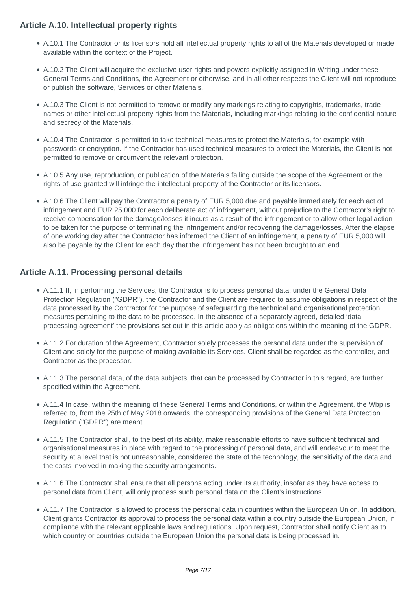## **Article A.10. Intellectual property rights**

- A.10.1 The Contractor or its licensors hold all intellectual property rights to all of the Materials developed or made available within the context of the Project.
- A.10.2 The Client will acquire the exclusive user rights and powers explicitly assigned in Writing under these General Terms and Conditions, the Agreement or otherwise, and in all other respects the Client will not reproduce or publish the software, Services or other Materials.
- A.10.3 The Client is not permitted to remove or modify any markings relating to copyrights, trademarks, trade names or other intellectual property rights from the Materials, including markings relating to the confidential nature and secrecy of the Materials.
- A.10.4 The Contractor is permitted to take technical measures to protect the Materials, for example with passwords or encryption. If the Contractor has used technical measures to protect the Materials, the Client is not permitted to remove or circumvent the relevant protection.
- A.10.5 Any use, reproduction, or publication of the Materials falling outside the scope of the Agreement or the rights of use granted will infringe the intellectual property of the Contractor or its licensors.
- A.10.6 The Client will pay the Contractor a penalty of EUR 5,000 due and payable immediately for each act of infringement and EUR 25,000 for each deliberate act of infringement, without prejudice to the Contractor's right to receive compensation for the damage/losses it incurs as a result of the infringement or to allow other legal action to be taken for the purpose of terminating the infringement and/or recovering the damage/losses. After the elapse of one working day after the Contractor has informed the Client of an infringement, a penalty of EUR 5,000 will also be payable by the Client for each day that the infringement has not been brought to an end.

## **Article A.11. Processing personal details**

- A.11.1 If, in performing the Services, the Contractor is to process personal data, under the General Data Protection Regulation ("GDPR"), the Contractor and the Client are required to assume obligations in respect of the data processed by the Contractor for the purpose of safeguarding the technical and organisational protection measures pertaining to the data to be processed. In the absence of a separately agreed, detailed 'data processing agreement' the provisions set out in this article apply as obligations within the meaning of the GDPR.
- A.11.2 For duration of the Agreement, Contractor solely processes the personal data under the supervision of Client and solely for the purpose of making available its Services. Client shall be regarded as the controller, and Contractor as the processor.
- A.11.3 The personal data, of the data subjects, that can be processed by Contractor in this regard, are further specified within the Agreement.
- A.11.4 In case, within the meaning of these General Terms and Conditions, or within the Agreement, the Wbp is referred to, from the 25th of May 2018 onwards, the corresponding provisions of the General Data Protection Regulation ("GDPR") are meant.
- A.11.5 The Contractor shall, to the best of its ability, make reasonable efforts to have sufficient technical and organisational measures in place with regard to the processing of personal data, and will endeavour to meet the security at a level that is not unreasonable, considered the state of the technology, the sensitivity of the data and the costs involved in making the security arrangements.
- A.11.6 The Contractor shall ensure that all persons acting under its authority, insofar as they have access to personal data from Client, will only process such personal data on the Client's instructions.
- A.11.7 The Contractor is allowed to process the personal data in countries within the European Union. In addition, Client grants Contractor its approval to process the personal data within a country outside the European Union, in compliance with the relevant applicable laws and regulations. Upon request, Contractor shall notify Client as to which country or countries outside the European Union the personal data is being processed in.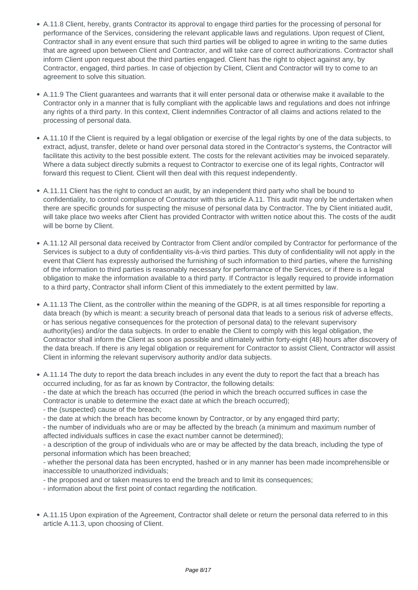- A.11.8 Client, hereby, grants Contractor its approval to engage third parties for the processing of personal for performance of the Services, considering the relevant applicable laws and regulations. Upon request of Client, Contractor shall in any event ensure that such third parties will be obliged to agree in writing to the same duties that are agreed upon between Client and Contractor, and will take care of correct authorizations. Contractor shall inform Client upon request about the third parties engaged. Client has the right to object against any, by Contractor, engaged, third parties. In case of objection by Client, Client and Contractor will try to come to an agreement to solve this situation.
- A.11.9 The Client guarantees and warrants that it will enter personal data or otherwise make it available to the Contractor only in a manner that is fully compliant with the applicable laws and regulations and does not infringe any rights of a third party. In this context, Client indemnifies Contractor of all claims and actions related to the processing of personal data.
- A.11.10 If the Client is required by a legal obligation or exercise of the legal rights by one of the data subjects, to extract, adjust, transfer, delete or hand over personal data stored in the Contractor's systems, the Contractor will facilitate this activity to the best possible extent. The costs for the relevant activities may be invoiced separately. Where a data subject directly submits a request to Contractor to exercise one of its legal rights, Contractor will forward this request to Client. Client will then deal with this request independently.
- A.11.11 Client has the right to conduct an audit, by an independent third party who shall be bound to confidentiality, to control compliance of Contractor with this article A.11. This audit may only be undertaken when there are specific grounds for suspecting the misuse of personal data by Contractor. The by Client initiated audit, will take place two weeks after Client has provided Contractor with written notice about this. The costs of the audit will be borne by Client.
- A.11.12 All personal data received by Contractor from Client and/or compiled by Contractor for performance of the Services is subject to a duty of confidentiality vis-à-vis third parties. This duty of confidentiality will not apply in the event that Client has expressly authorised the furnishing of such information to third parties, where the furnishing of the information to third parties is reasonably necessary for performance of the Services, or if there is a legal obligation to make the information available to a third party. If Contractor is legally required to provide information to a third party, Contractor shall inform Client of this immediately to the extent permitted by law.
- A.11.13 The Client, as the controller within the meaning of the GDPR, is at all times responsible for reporting a data breach (by which is meant: a security breach of personal data that leads to a serious risk of adverse effects, or has serious negative consequences for the protection of personal data) to the relevant supervisory authority(ies) and/or the data subjects. In order to enable the Client to comply with this legal obligation, the Contractor shall inform the Client as soon as possible and ultimately within forty-eight (48) hours after discovery of the data breach. If there is any legal obligation or requirement for Contractor to assist Client, Contractor will assist Client in informing the relevant supervisory authority and/or data subjects.
- A.11.14 The duty to report the data breach includes in any event the duty to report the fact that a breach has occurred including, for as far as known by Contractor, the following details: - the date at which the breach has occurred (the period in which the breach occurred suffices in case the Contractor is unable to determine the exact date at which the breach occurred);
	- the (suspected) cause of the breach;
	- the date at which the breach has become known by Contractor, or by any engaged third party;
	- the number of individuals who are or may be affected by the breach (a minimum and maximum number of affected individuals suffices in case the exact number cannot be determined);
	- a description of the group of individuals who are or may be affected by the data breach, including the type of personal information which has been breached;
	- whether the personal data has been encrypted, hashed or in any manner has been made incomprehensible or inaccessible to unauthorized individuals;
	- the proposed and or taken measures to end the breach and to limit its consequences;
	- information about the first point of contact regarding the notification.
- A.11.15 Upon expiration of the Agreement, Contractor shall delete or return the personal data referred to in this article A.11.3, upon choosing of Client.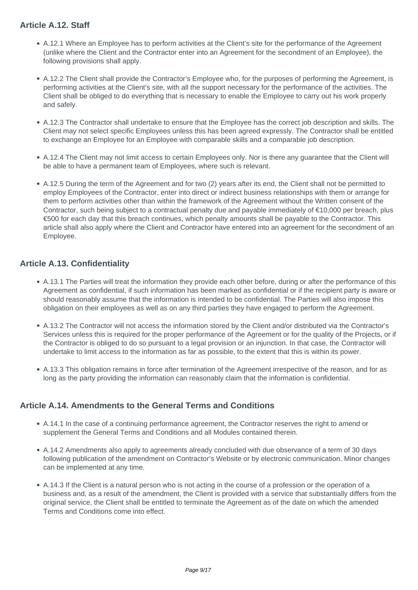## **Article A.12. Staff**

- A.12.1 Where an Employee has to perform activities at the Client's site for the performance of the Agreement (unlike where the Client and the Contractor enter into an Agreement for the secondment of an Employee), the following provisions shall apply.
- A.12.2 The Client shall provide the Contractor's Employee who, for the purposes of performing the Agreement, is performing activities at the Client's site, with all the support necessary for the performance of the activities. The Client shall be obliged to do everything that is necessary to enable the Employee to carry out his work properly and safely.
- A.12.3 The Contractor shall undertake to ensure that the Employee has the correct job description and skills. The Client may not select specific Employees unless this has been agreed expressly. The Contractor shall be entitled to exchange an Employee for an Employee with comparable skills and a comparable job description.
- A.12.4 The Client may not limit access to certain Employees only. Nor is there any guarantee that the Client will be able to have a permanent team of Employees, where such is relevant.
- A.12.5 During the term of the Agreement and for two (2) years after its end, the Client shall not be permitted to employ Employees of the Contractor, enter into direct or indirect business relationships with them or arrange for them to perform activities other than within the framework of the Agreement without the Written consent of the Contractor, such being subject to a contractual penalty due and payable immediately of €10,000 per breach, plus €500 for each day that this breach continues, which penalty amounts shall be payable to the Contractor. This article shall also apply where the Client and Contractor have entered into an agreement for the secondment of an Employee.

## **Article A.13. Confidentiality**

- A.13.1 The Parties will treat the information they provide each other before, during or after the performance of this Agreement as confidential, if such information has been marked as confidential or if the recipient party is aware or should reasonably assume that the information is intended to be confidential. The Parties will also impose this obligation on their employees as well as on any third parties they have engaged to perform the Agreement.
- A.13.2 The Contractor will not access the information stored by the Client and/or distributed via the Contractor's Services unless this is required for the proper performance of the Agreement or for the quality of the Projects, or if the Contractor is obliged to do so pursuant to a legal provision or an injunction. In that case, the Contractor will undertake to limit access to the information as far as possible, to the extent that this is within its power.
- A.13.3 This obligation remains in force after termination of the Agreement irrespective of the reason, and for as long as the party providing the information can reasonably claim that the information is confidential.

## **Article A.14. Amendments to the General Terms and Conditions**

- A.14.1 In the case of a continuing performance agreement, the Contractor reserves the right to amend or supplement the General Terms and Conditions and all Modules contained therein.
- A.14.2 Amendments also apply to agreements already concluded with due observance of a term of 30 days following publication of the amendment on Contractor's Website or by electronic communication. Minor changes can be implemented at any time.
- A.14.3 If the Client is a natural person who is not acting in the course of a profession or the operation of a business and, as a result of the amendment, the Client is provided with a service that substantially differs from the original service, the Client shall be entitled to terminate the Agreement as of the date on which the amended Terms and Conditions come into effect.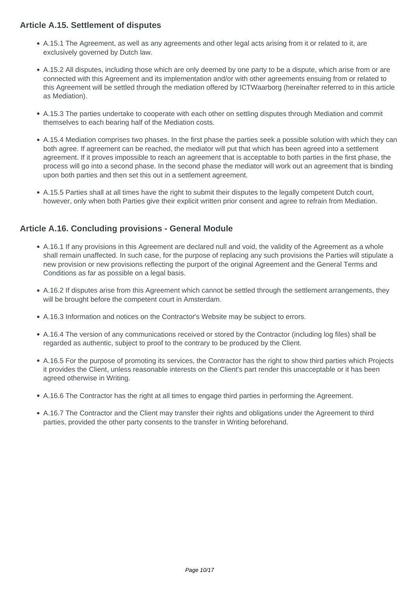### **Article A.15. Settlement of disputes**

- A.15.1 The Agreement, as well as any agreements and other legal acts arising from it or related to it, are exclusively governed by Dutch law.
- A.15.2 All disputes, including those which are only deemed by one party to be a dispute, which arise from or are connected with this Agreement and its implementation and/or with other agreements ensuing from or related to this Agreement will be settled through the mediation offered by ICTWaarborg (hereinafter referred to in this article as Mediation).
- A.15.3 The parties undertake to cooperate with each other on settling disputes through Mediation and commit themselves to each bearing half of the Mediation costs.
- A.15.4 Mediation comprises two phases. In the first phase the parties seek a possible solution with which they can both agree. If agreement can be reached, the mediator will put that which has been agreed into a settlement agreement. If it proves impossible to reach an agreement that is acceptable to both parties in the first phase, the process will go into a second phase. In the second phase the mediator will work out an agreement that is binding upon both parties and then set this out in a settlement agreement.
- A.15.5 Parties shall at all times have the right to submit their disputes to the legally competent Dutch court, however, only when both Parties give their explicit written prior consent and agree to refrain from Mediation.

## **Article A.16. Concluding provisions - General Module**

- A.16.1 If any provisions in this Agreement are declared null and void, the validity of the Agreement as a whole shall remain unaffected. In such case, for the purpose of replacing any such provisions the Parties will stipulate a new provision or new provisions reflecting the purport of the original Agreement and the General Terms and Conditions as far as possible on a legal basis.
- A.16.2 If disputes arise from this Agreement which cannot be settled through the settlement arrangements, they will be brought before the competent court in Amsterdam.
- A.16.3 Information and notices on the Contractor's Website may be subject to errors.
- A.16.4 The version of any communications received or stored by the Contractor (including log files) shall be regarded as authentic, subject to proof to the contrary to be produced by the Client.
- A.16.5 For the purpose of promoting its services, the Contractor has the right to show third parties which Projects it provides the Client, unless reasonable interests on the Client's part render this unacceptable or it has been agreed otherwise in Writing.
- A.16.6 The Contractor has the right at all times to engage third parties in performing the Agreement.
- A.16.7 The Contractor and the Client may transfer their rights and obligations under the Agreement to third parties, provided the other party consents to the transfer in Writing beforehand.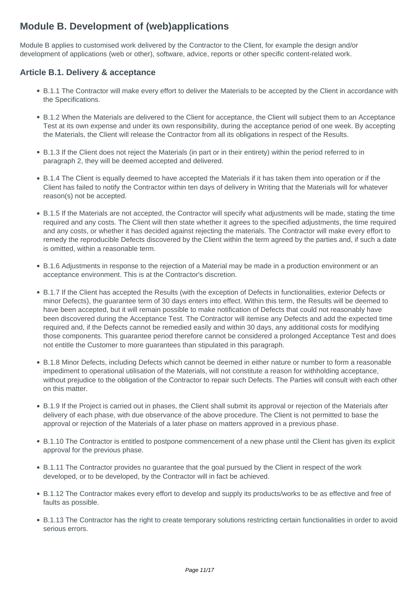## **Module B. Development of (web)applications**

Module B applies to customised work delivered by the Contractor to the Client, for example the design and/or development of applications (web or other), software, advice, reports or other specific content-related work.

## **Article B.1. Delivery & acceptance**

- B.1.1 The Contractor will make every effort to deliver the Materials to be accepted by the Client in accordance with the Specifications.
- B.1.2 When the Materials are delivered to the Client for acceptance, the Client will subject them to an Acceptance Test at its own expense and under its own responsibility, during the acceptance period of one week. By accepting the Materials, the Client will release the Contractor from all its obligations in respect of the Results.
- B.1.3 If the Client does not reject the Materials (in part or in their entirety) within the period referred to in paragraph 2, they will be deemed accepted and delivered.
- B.1.4 The Client is equally deemed to have accepted the Materials if it has taken them into operation or if the Client has failed to notify the Contractor within ten days of delivery in Writing that the Materials will for whatever reason(s) not be accepted.
- B.1.5 If the Materials are not accepted, the Contractor will specify what adjustments will be made, stating the time required and any costs. The Client will then state whether it agrees to the specified adjustments, the time required and any costs, or whether it has decided against rejecting the materials. The Contractor will make every effort to remedy the reproducible Defects discovered by the Client within the term agreed by the parties and, if such a date is omitted, within a reasonable term.
- B.1.6 Adjustments in response to the rejection of a Material may be made in a production environment or an acceptance environment. This is at the Contractor's discretion.
- B.1.7 If the Client has accepted the Results (with the exception of Defects in functionalities, exterior Defects or minor Defects), the guarantee term of 30 days enters into effect. Within this term, the Results will be deemed to have been accepted, but it will remain possible to make notification of Defects that could not reasonably have been discovered during the Acceptance Test. The Contractor will itemise any Defects and add the expected time required and, if the Defects cannot be remedied easily and within 30 days, any additional costs for modifying those components. This guarantee period therefore cannot be considered a prolonged Acceptance Test and does not entitle the Customer to more guarantees than stipulated in this paragraph.
- B.1.8 Minor Defects, including Defects which cannot be deemed in either nature or number to form a reasonable impediment to operational utilisation of the Materials, will not constitute a reason for withholding acceptance, without prejudice to the obligation of the Contractor to repair such Defects. The Parties will consult with each other on this matter.
- B.1.9 If the Project is carried out in phases, the Client shall submit its approval or rejection of the Materials after delivery of each phase, with due observance of the above procedure. The Client is not permitted to base the approval or rejection of the Materials of a later phase on matters approved in a previous phase.
- B.1.10 The Contractor is entitled to postpone commencement of a new phase until the Client has given its explicit approval for the previous phase.
- B.1.11 The Contractor provides no guarantee that the goal pursued by the Client in respect of the work developed, or to be developed, by the Contractor will in fact be achieved.
- B.1.12 The Contractor makes every effort to develop and supply its products/works to be as effective and free of faults as possible.
- B.1.13 The Contractor has the right to create temporary solutions restricting certain functionalities in order to avoid serious errors.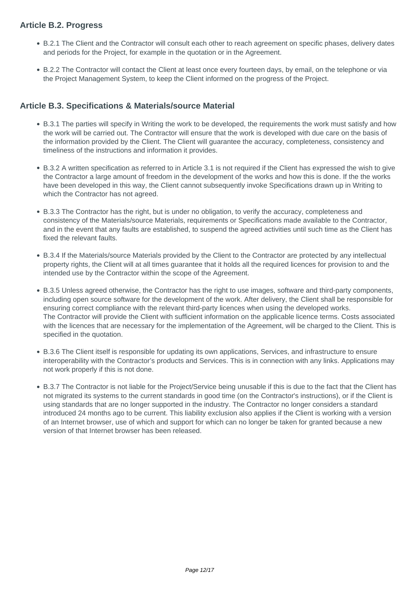## **Article B.2. Progress**

- B.2.1 The Client and the Contractor will consult each other to reach agreement on specific phases, delivery dates and periods for the Project, for example in the quotation or in the Agreement.
- B.2.2 The Contractor will contact the Client at least once every fourteen days, by email, on the telephone or via the Project Management System, to keep the Client informed on the progress of the Project.

### **Article B.3. Specifications & Materials/source Material**

- B.3.1 The parties will specify in Writing the work to be developed, the requirements the work must satisfy and how the work will be carried out. The Contractor will ensure that the work is developed with due care on the basis of the information provided by the Client. The Client will guarantee the accuracy, completeness, consistency and timeliness of the instructions and information it provides.
- B.3.2 A written specification as referred to in Article 3.1 is not required if the Client has expressed the wish to give the Contractor a large amount of freedom in the development of the works and how this is done. If the the works have been developed in this way, the Client cannot subsequently invoke Specifications drawn up in Writing to which the Contractor has not agreed.
- B.3.3 The Contractor has the right, but is under no obligation, to verify the accuracy, completeness and consistency of the Materials/source Materials, requirements or Specifications made available to the Contractor, and in the event that any faults are established, to suspend the agreed activities until such time as the Client has fixed the relevant faults.
- B.3.4 If the Materials/source Materials provided by the Client to the Contractor are protected by any intellectual property rights, the Client will at all times guarantee that it holds all the required licences for provision to and the intended use by the Contractor within the scope of the Agreement.
- B.3.5 Unless agreed otherwise, the Contractor has the right to use images, software and third-party components, including open source software for the development of the work. After delivery, the Client shall be responsible for ensuring correct compliance with the relevant third-party licences when using the developed works. The Contractor will provide the Client with sufficient information on the applicable licence terms. Costs associated with the licences that are necessary for the implementation of the Agreement, will be charged to the Client. This is specified in the quotation.
- B.3.6 The Client itself is responsible for updating its own applications, Services, and infrastructure to ensure interoperability with the Contractor's products and Services. This is in connection with any links. Applications may not work properly if this is not done.
- B.3.7 The Contractor is not liable for the Project/Service being unusable if this is due to the fact that the Client has not migrated its systems to the current standards in good time (on the Contractor's instructions), or if the Client is using standards that are no longer supported in the industry. The Contractor no longer considers a standard introduced 24 months ago to be current. This liability exclusion also applies if the Client is working with a version of an Internet browser, use of which and support for which can no longer be taken for granted because a new version of that Internet browser has been released.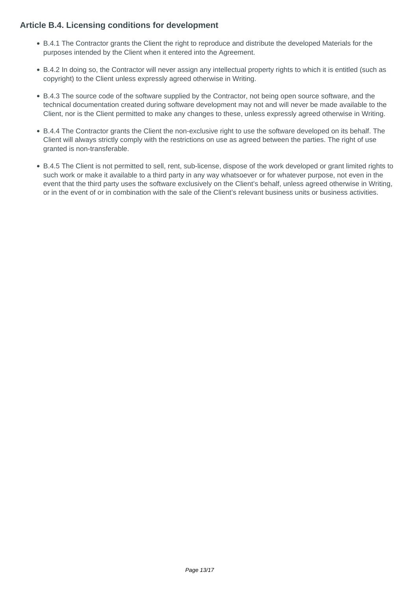### **Article B.4. Licensing conditions for development**

- B.4.1 The Contractor grants the Client the right to reproduce and distribute the developed Materials for the purposes intended by the Client when it entered into the Agreement.
- B.4.2 In doing so, the Contractor will never assign any intellectual property rights to which it is entitled (such as copyright) to the Client unless expressly agreed otherwise in Writing.
- B.4.3 The source code of the software supplied by the Contractor, not being open source software, and the technical documentation created during software development may not and will never be made available to the Client, nor is the Client permitted to make any changes to these, unless expressly agreed otherwise in Writing.
- B.4.4 The Contractor grants the Client the non-exclusive right to use the software developed on its behalf. The Client will always strictly comply with the restrictions on use as agreed between the parties. The right of use granted is non-transferable.
- B.4.5 The Client is not permitted to sell, rent, sub-license, dispose of the work developed or grant limited rights to such work or make it available to a third party in any way whatsoever or for whatever purpose, not even in the event that the third party uses the software exclusively on the Client's behalf, unless agreed otherwise in Writing, or in the event of or in combination with the sale of the Client's relevant business units or business activities.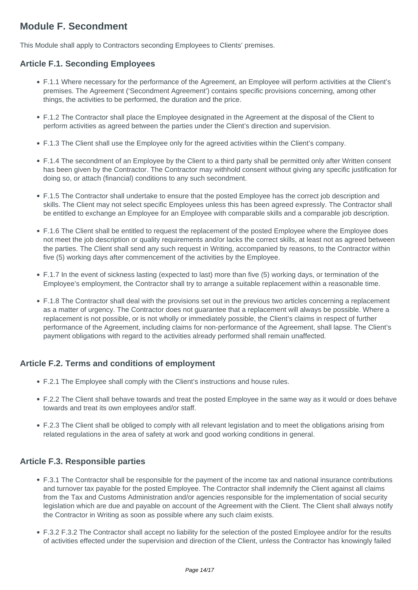## **Module F. Secondment**

This Module shall apply to Contractors seconding Employees to Clients' premises.

## **Article F.1. Seconding Employees**

- F.1.1 Where necessary for the performance of the Agreement, an Employee will perform activities at the Client's premises. The Agreement ('Secondment Agreement') contains specific provisions concerning, among other things, the activities to be performed, the duration and the price.
- F.1.2 The Contractor shall place the Employee designated in the Agreement at the disposal of the Client to perform activities as agreed between the parties under the Client's direction and supervision.
- F.1.3 The Client shall use the Employee only for the agreed activities within the Client's company.
- F.1.4 The secondment of an Employee by the Client to a third party shall be permitted only after Written consent has been given by the Contractor. The Contractor may withhold consent without giving any specific justification for doing so, or attach (financial) conditions to any such secondment.
- F.1.5 The Contractor shall undertake to ensure that the posted Employee has the correct job description and skills. The Client may not select specific Employees unless this has been agreed expressly. The Contractor shall be entitled to exchange an Employee for an Employee with comparable skills and a comparable job description.
- F.1.6 The Client shall be entitled to request the replacement of the posted Employee where the Employee does not meet the job description or quality requirements and/or lacks the correct skills, at least not as agreed between the parties. The Client shall send any such request in Writing, accompanied by reasons, to the Contractor within five (5) working days after commencement of the activities by the Employee.
- F.1.7 In the event of sickness lasting (expected to last) more than five (5) working days, or termination of the Employee's employment, the Contractor shall try to arrange a suitable replacement within a reasonable time.
- F.1.8 The Contractor shall deal with the provisions set out in the previous two articles concerning a replacement as a matter of urgency. The Contractor does not guarantee that a replacement will always be possible. Where a replacement is not possible, or is not wholly or immediately possible, the Client's claims in respect of further performance of the Agreement, including claims for non-performance of the Agreement, shall lapse. The Client's payment obligations with regard to the activities already performed shall remain unaffected.

## **Article F.2. Terms and conditions of employment**

- F.2.1 The Employee shall comply with the Client's instructions and house rules.
- F.2.2 The Client shall behave towards and treat the posted Employee in the same way as it would or does behave towards and treat its own employees and/or staff.
- F.2.3 The Client shall be obliged to comply with all relevant legislation and to meet the obligations arising from related regulations in the area of safety at work and good working conditions in general.

#### **Article F.3. Responsible parties**

- F.3.1 The Contractor shall be responsible for the payment of the income tax and national insurance contributions and turnover tax payable for the posted Employee. The Contractor shall indemnify the Client against all claims from the Tax and Customs Administration and/or agencies responsible for the implementation of social security legislation which are due and payable on account of the Agreement with the Client. The Client shall always notify the Contractor in Writing as soon as possible where any such claim exists.
- F.3.2 F.3.2 The Contractor shall accept no liability for the selection of the posted Employee and/or for the results of activities effected under the supervision and direction of the Client, unless the Contractor has knowingly failed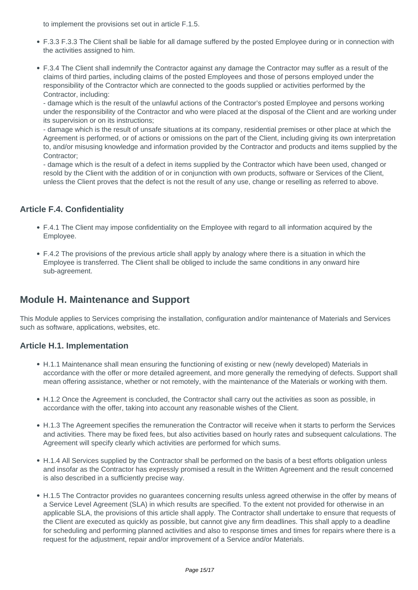to implement the provisions set out in article F.1.5.

- F.3.3 F.3.3 The Client shall be liable for all damage suffered by the posted Employee during or in connection with the activities assigned to him.
- F.3.4 The Client shall indemnify the Contractor against any damage the Contractor may suffer as a result of the claims of third parties, including claims of the posted Employees and those of persons employed under the responsibility of the Contractor which are connected to the goods supplied or activities performed by the Contractor, including:

- damage which is the result of the unlawful actions of the Contractor's posted Employee and persons working under the responsibility of the Contractor and who were placed at the disposal of the Client and are working under its supervision or on its instructions;

- damage which is the result of unsafe situations at its company, residential premises or other place at which the Agreement is performed, or of actions or omissions on the part of the Client, including giving its own interpretation to, and/or misusing knowledge and information provided by the Contractor and products and items supplied by the Contractor;

- damage which is the result of a defect in items supplied by the Contractor which have been used, changed or resold by the Client with the addition of or in conjunction with own products, software or Services of the Client, unless the Client proves that the defect is not the result of any use, change or reselling as referred to above.

## **Article F.4. Confidentiality**

- F.4.1 The Client may impose confidentiality on the Employee with regard to all information acquired by the Employee.
- F.4.2 The provisions of the previous article shall apply by analogy where there is a situation in which the Employee is transferred. The Client shall be obliged to include the same conditions in any onward hire sub-agreement.

## **Module H. Maintenance and Support**

This Module applies to Services comprising the installation, configuration and/or maintenance of Materials and Services such as software, applications, websites, etc.

#### **Article H.1. Implementation**

- H.1.1 Maintenance shall mean ensuring the functioning of existing or new (newly developed) Materials in accordance with the offer or more detailed agreement, and more generally the remedying of defects. Support shall mean offering assistance, whether or not remotely, with the maintenance of the Materials or working with them.
- H.1.2 Once the Agreement is concluded, the Contractor shall carry out the activities as soon as possible, in accordance with the offer, taking into account any reasonable wishes of the Client.
- H.1.3 The Agreement specifies the remuneration the Contractor will receive when it starts to perform the Services and activities. There may be fixed fees, but also activities based on hourly rates and subsequent calculations. The Agreement will specify clearly which activities are performed for which sums.
- H.1.4 All Services supplied by the Contractor shall be performed on the basis of a best efforts obligation unless and insofar as the Contractor has expressly promised a result in the Written Agreement and the result concerned is also described in a sufficiently precise way.
- H.1.5 The Contractor provides no guarantees concerning results unless agreed otherwise in the offer by means of a Service Level Agreement (SLA) in which results are specified. To the extent not provided for otherwise in an applicable SLA, the provisions of this article shall apply. The Contractor shall undertake to ensure that requests of the Client are executed as quickly as possible, but cannot give any firm deadlines. This shall apply to a deadline for scheduling and performing planned activities and also to response times and times for repairs where there is a request for the adjustment, repair and/or improvement of a Service and/or Materials.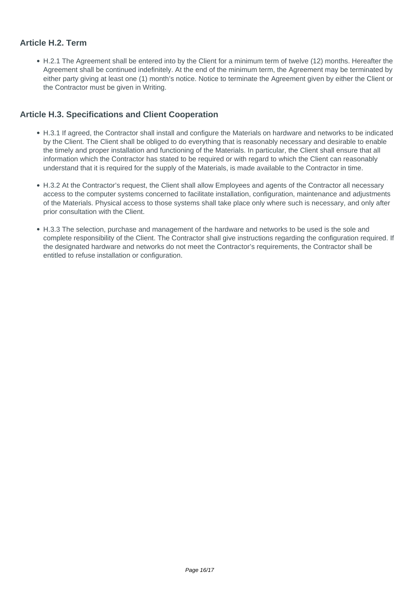## **Article H.2. Term**

H.2.1 The Agreement shall be entered into by the Client for a minimum term of twelve (12) months. Hereafter the Agreement shall be continued indefinitely. At the end of the minimum term, the Agreement may be terminated by either party giving at least one (1) month's notice. Notice to terminate the Agreement given by either the Client or the Contractor must be given in Writing.

#### **Article H.3. Specifications and Client Cooperation**

- H.3.1 If agreed, the Contractor shall install and configure the Materials on hardware and networks to be indicated by the Client. The Client shall be obliged to do everything that is reasonably necessary and desirable to enable the timely and proper installation and functioning of the Materials. In particular, the Client shall ensure that all information which the Contractor has stated to be required or with regard to which the Client can reasonably understand that it is required for the supply of the Materials, is made available to the Contractor in time.
- H.3.2 At the Contractor's request, the Client shall allow Employees and agents of the Contractor all necessary access to the computer systems concerned to facilitate installation, configuration, maintenance and adjustments of the Materials. Physical access to those systems shall take place only where such is necessary, and only after prior consultation with the Client.
- H.3.3 The selection, purchase and management of the hardware and networks to be used is the sole and complete responsibility of the Client. The Contractor shall give instructions regarding the configuration required. If the designated hardware and networks do not meet the Contractor's requirements, the Contractor shall be entitled to refuse installation or configuration.